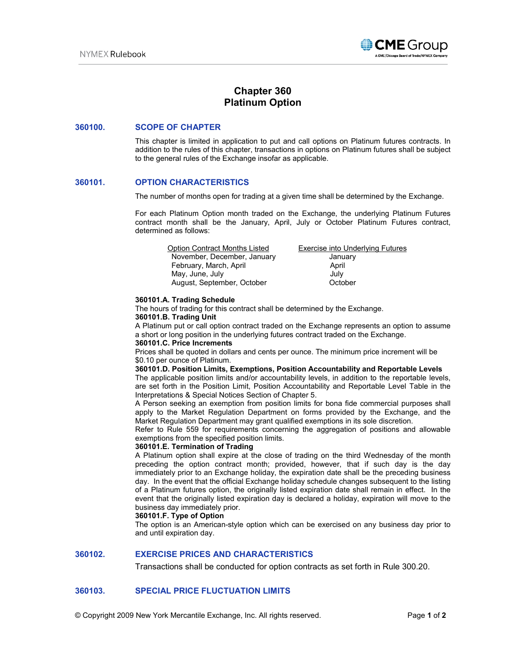

# **Chapter 360 Platinum Option**

#### **360100. SCOPE OF CHAPTER**

This chapter is limited in application to put and call options on Platinum futures contracts. In addition to the rules of this chapter, transactions in options on Platinum futures shall be subject to the general rules of the Exchange insofar as applicable.

# **360101. OPTION CHARACTERISTICS**

The number of months open for trading at a given time shall be determined by the Exchange.

For each Platinum Option month traded on the Exchange, the underlying Platinum Futures contract month shall be the January, April, July or October Platinum Futures contract, determined as follows:

| <b>Option Contract Months Listed</b> | <b>Exercise into Underlying Futures</b> |
|--------------------------------------|-----------------------------------------|
| November, December, January          | January                                 |
| February, March, April               | April                                   |
| May, June, July                      | July                                    |
| August, September, October           | October                                 |

#### **360101.A. Trading Schedule**

The hours of trading for this contract shall be determined by the Exchange. **360101.B. Trading Unit** 

A Platinum put or call option contract traded on the Exchange represents an option to assume a short or long position in the underlying futures contract traded on the Exchange.

#### **360101.C. Price Increments**

Prices shall be quoted in dollars and cents per ounce. The minimum price increment will be \$0.10 per ounce of Platinum.

**360101.D. Position Limits, Exemptions, Position Accountability and Reportable Levels** 

The applicable position limits and/or accountability levels, in addition to the reportable levels, are set forth in the Position Limit, Position Accountability and Reportable Level Table in the Interpretations & Special Notices Section of Chapter 5.

A Person seeking an exemption from position limits for bona fide commercial purposes shall apply to the Market Regulation Department on forms provided by the Exchange, and the Market Regulation Department may grant qualified exemptions in its sole discretion.

Refer to Rule 559 for requirements concerning the aggregation of positions and allowable exemptions from the specified position limits.

#### **360101.E. Termination of Trading**

A Platinum option shall expire at the close of trading on the third Wednesday of the month preceding the option contract month; provided, however, that if such day is the day immediately prior to an Exchange holiday, the expiration date shall be the preceding business day. In the event that the official Exchange holiday schedule changes subsequent to the listing of a Platinum futures option, the originally listed expiration date shall remain in effect. In the event that the originally listed expiration day is declared a holiday, expiration will move to the business day immediately prior.

# **360101.F. Type of Option**

The option is an American-style option which can be exercised on any business day prior to and until expiration day.

# **360102. EXERCISE PRICES AND CHARACTERISTICS**

Transactions shall be conducted for option contracts as set forth in Rule 300.20.

# **360103. SPECIAL PRICE FLUCTUATION LIMITS**

© Copyright 2009 New York Mercantile Exchange, Inc. All rights reserved. Page **1** of **2**